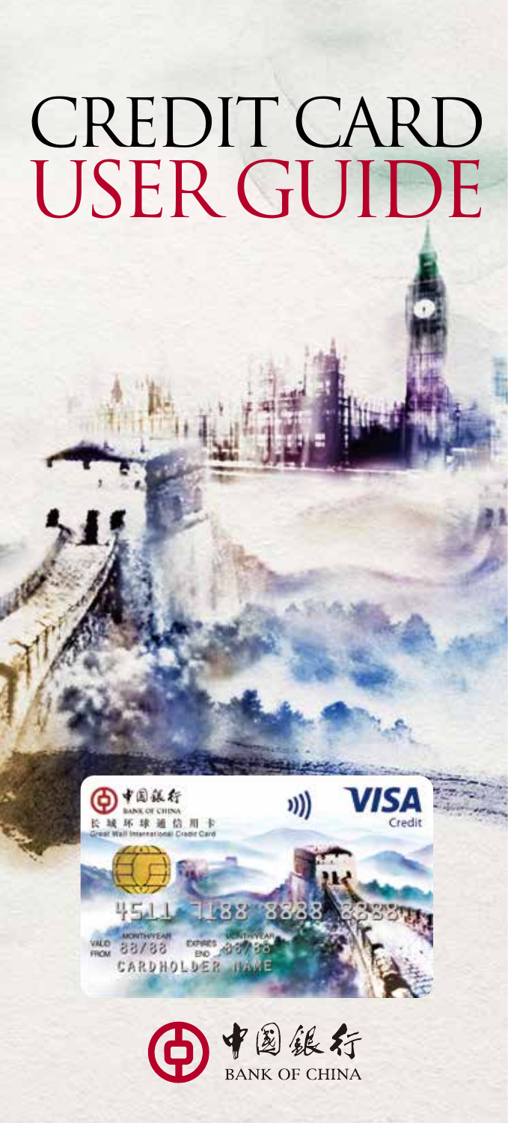# Credit Card USER GUIDE



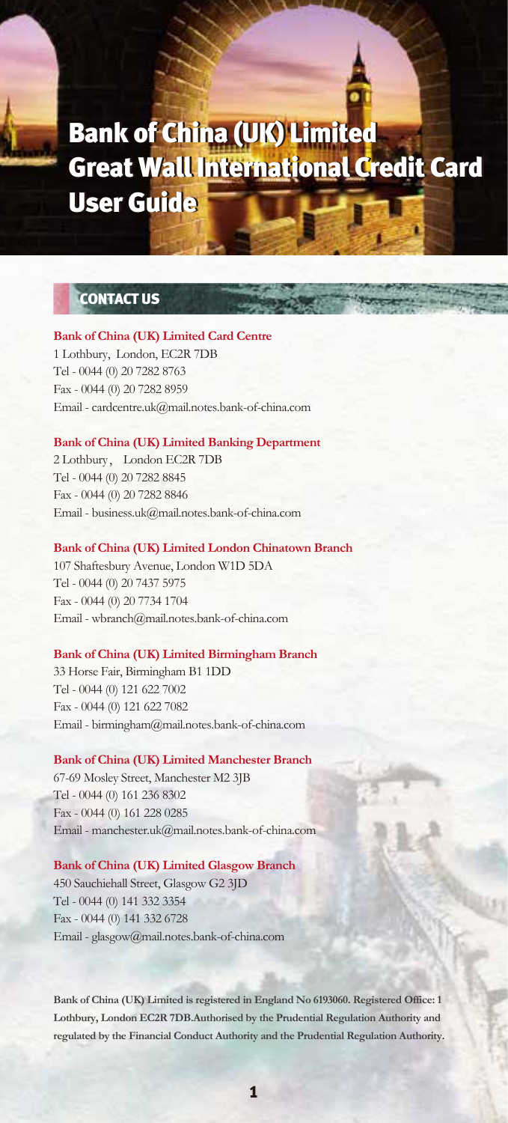## Bank of China (UK) Limited Bank of China (UK) Limited Great Wall International Credit Card Great Wall International Credit Card User Guide User Guide

## CONTACT US

## **Bank of China (UK) Limited Card Centre** 1 Lothbury, London, EC2R 7DB

Tel - 0044 (0) 20 7282 8763 Fax - 0044 (0) 20 7282 8959 Email - cardcentre.uk@mail.notes.bank-of-china.com

## **Bank of China (UK) Limited Banking Department**

2 Lothbury, London EC2R 7DB Tel - 0044 (0) 20 7282 8845 Fax - 0044 (0) 20 7282 8846 Email - business.uk@mail.notes.bank-of-china.com

#### **Bank of China (UK) Limited London Chinatown Branch**

107 Shaftesbury Avenue, London W1D 5DA Tel - 0044 (0) 20 7437 5975 Fax - 0044 (0) 20 7734 1704 Email - wbranch@mail.notes.bank-of-china.com

#### **Bank of China (UK) Limited Birmingham Branch**

33 Horse Fair, Birmingham B1 1DD Tel - 0044 (0) 121 622 7002 Fax - 0044 (0) 121 622 7082 Email - birmingham@mail.notes.bank-of-china.com

#### **Bank of China (UK) Limited Manchester Branch**

67-69 Mosley Street, Manchester M2 3JB Tel - 0044 (0) 161 236 8302 Fax - 0044 (0) 161 228 0285 Email - manchester.uk@mail.notes.bank-of-china.com

#### **Bank of China (UK) Limited Glasgow Branch**

450 Sauchiehall Street, Glasgow G2 3JD Tel - 0044 (0) 141 332 3354 Fax - 0044 (0) 141 332 6728 Email - glasgow@mail.notes.bank-of-china.com

**Bank of China (UK) Limited is registered in England No 6193060. Registered Office: 1 Lothbury, London EC2R 7DB.Authorised by the Prudential Regulation Authority and regulated by the Financial Conduct Authority and the Prudential Regulation Authority.**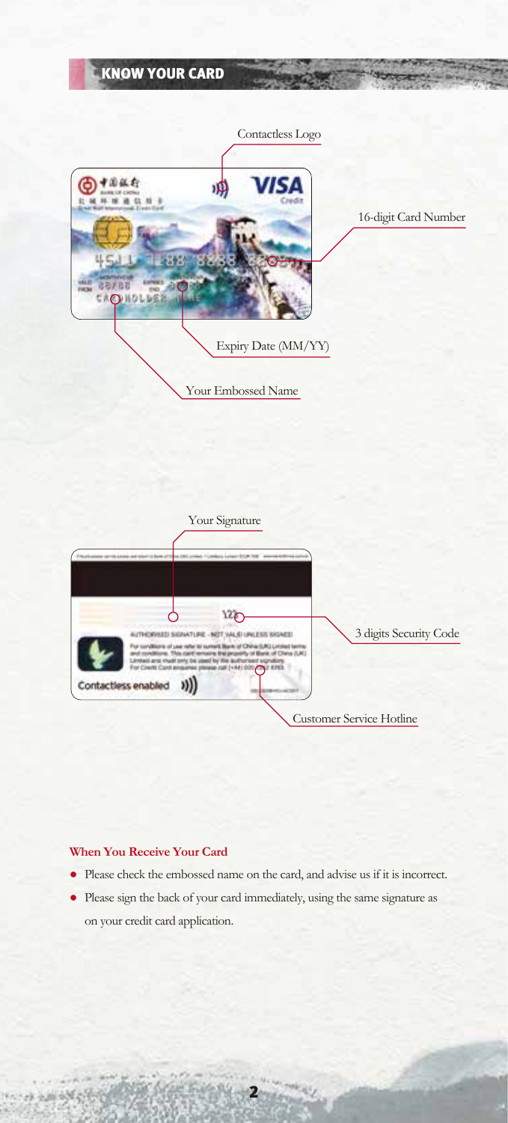

## **When You Receive Your Card**

いか 山谷時代

- Please check the embossed name on the card, and advise us if it is incorrect.
- Please sign the back of your card immediately, using the same signature as on your credit card application.

2

زينا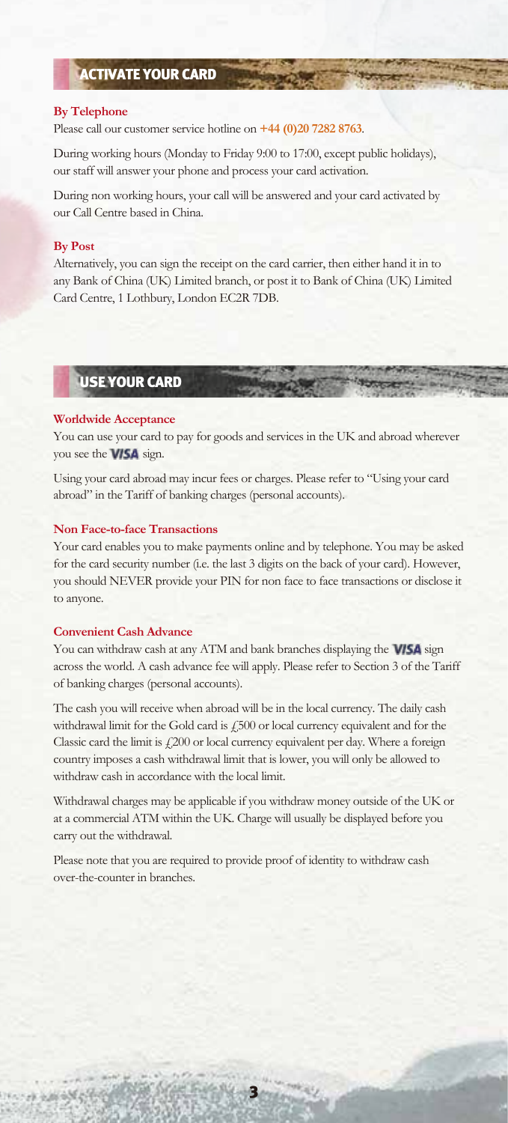## ACTIVATE YOUR CARD

#### **By Telephone**

Please call our customer service hotline on **+44 (0)20 7282 8763**.

During working hours (Monday to Friday 9:00 to 17:00, except public holidays), our staff will answer your phone and process your card activation.

During non working hours, your call will be answered and your card activated by our Call Centre based in China.

#### **By Post**

Alternatively, you can sign the receipt on the card carrier, then either hand it in to any Bank of China (UK) Limited branch, or post it to Bank of China (UK) Limited Card Centre, 1 Lothbury, London EC2R 7DB.

USE YOUR CARD

#### **Worldwide Acceptance**

You can use your card to pay for goods and services in the UK and abroad wherever you see the **VISA** sign.

Using your card abroad may incur fees or charges. Please refer to "Using your card abroad" in the Tariff of banking charges (personal accounts).

#### **Non Face-to-face Transactions**

Your card enables you to make payments online and by telephone. You may be asked for the card security number (i.e. the last 3 digits on the back of your card). However, you should NEVER provide your PIN for non face to face transactions or disclose it to anyone.

#### **Convenient Cash Advance**

You can withdraw cash at any ATM and bank branches displaying the **VISA** sign across the world. A cash advance fee will apply. Please refer to Section 3 of the Tariff of banking charges (personal accounts).

The cash you will receive when abroad will be in the local currency. The daily cash withdrawal limit for the Gold card is £500 or local currency equivalent and for the Classic card the limit is  $\frac{1}{200}$  or local currency equivalent per day. Where a foreign country imposes a cash withdrawal limit that is lower, you will only be allowed to withdraw cash in accordance with the local limit.

Withdrawal charges may be applicable if you withdraw money outside of the UK or at a commercial ATM within the UK. Charge will usually be displayed before you carry out the withdrawal.

Please note that you are required to provide proof of identity to withdraw cash over-the-counter in branches.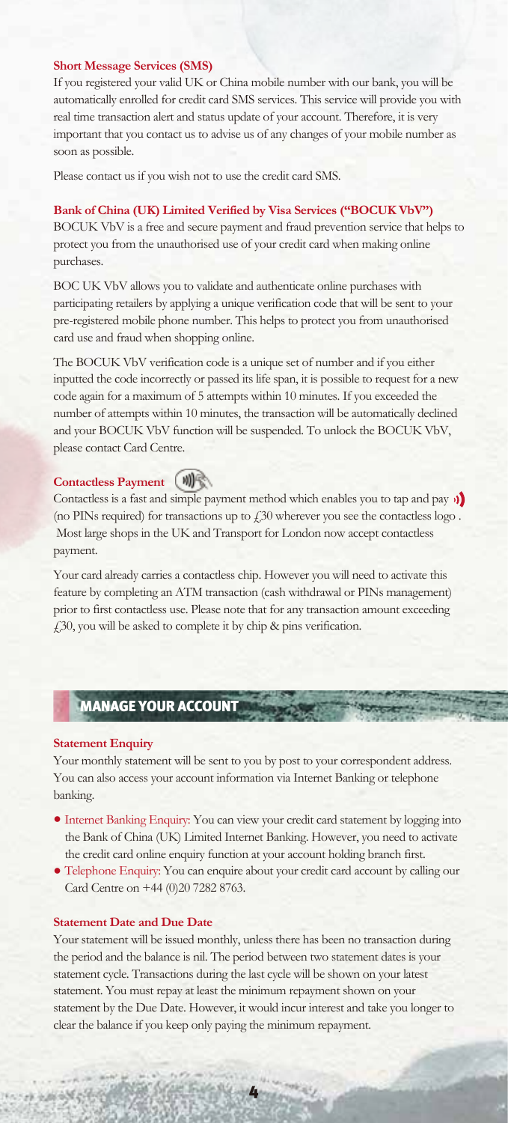#### **Short Message Services (SMS)**

If you registered your valid UK or China mobile number with our bank, you will be automatically enrolled for credit card SMS services. This service will provide you with real time transaction alert and status update of your account. Therefore, it is very important that you contact us to advise us of any changes of your mobile number as soon as possible.

Please contact us if you wish not to use the credit card SMS.

#### **Bank of China (UK) Limited Verified by Visa Services ("BOCUK VbV")**

BOCUK VbV is a free and secure payment and fraud prevention service that helps to protect you from the unauthorised use of your credit card when making online purchases.

BOC UK VbV allows you to validate and authenticate online purchases with participating retailers by applying a unique verification code that will be sent to your pre-registered mobile phone number. This helps to protect you from unauthorised card use and fraud when shopping online.

The BOCUK VbV verification code is a unique set of number and if you either inputted the code incorrectly or passed its life span, it is possible to request for a new code again for a maximum of 5 attempts within 10 minutes. If you exceeded the number of attempts within 10 minutes, the transaction will be automatically declined and your BOCUK VbV function will be suspended. To unlock the BOCUK VbV, please contact Card Centre.

## **Contactless Payment <b>W**

Contactless is a fast and simple payment method which enables you to tap and pay  $\mathbf{\hat{y}}$ (no PINs required) for transactions up to  $£30$  wherever you see the contactless logo. Most large shops in the UK and Transport for London now accept contactless payment.

Your card already carries a contactless chip. However you will need to activate this feature by completing an ATM transaction (cash withdrawal or PINs management) prior to first contactless use. Please note that for any transaction amount exceeding £30, you will be asked to complete it by chip & pins verification.

## MANAGE YOUR ACCOUNT

#### **Statement Enquiry**

Your monthly statement will be sent to you by post to your correspondent address. You can also access your account information via Internet Banking or telephone banking.

- Internet Banking Enquiry: You can view your credit card statement by logging into the Bank of China (UK) Limited Internet Banking. However, you need to activate the credit card online enquiry function at your account holding branch first.
- Telephone Enquiry: You can enquire about your credit card account by calling our Card Centre on +44 (0)20 7282 8763.

#### **Statement Date and Due Date**

いれる ある気をす

Your statement will be issued monthly, unless there has been no transaction during the period and the balance is nil. The period between two statement dates is your statement cycle. Transactions during the last cycle will be shown on your latest statement. You must repay at least the minimum repayment shown on your statement by the Due Date. However, it would incur interest and take you longer to clear the balance if you keep only paying the minimum repayment.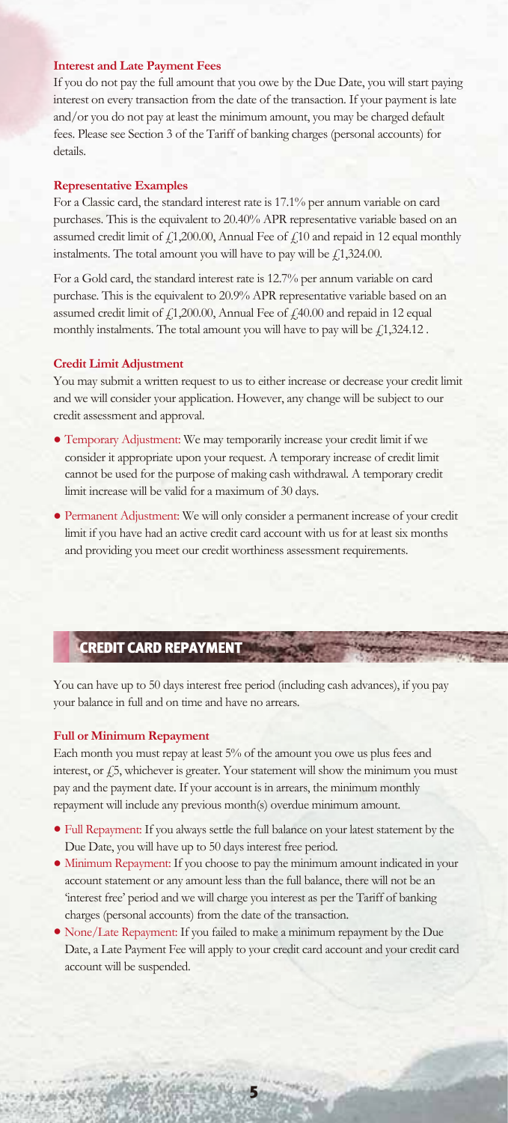#### **Interest and Late Payment Fees**

If you do not pay the full amount that you owe by the Due Date, you will start paying interest on every transaction from the date of the transaction. If your payment is late and/or you do not pay at least the minimum amount, you may be charged default fees. Please see Section 3 of the Tariff of banking charges (personal accounts) for details.

#### **Representative Examples**

For a Classic card, the standard interest rate is 17.1% per annum variable on card purchases. This is the equivalent to 20.40% APR representative variable based on an assumed credit limit of  $f$ 1,200.00, Annual Fee of  $f$ 10 and repaid in 12 equal monthly instalments. The total amount you will have to pay will be  $\ell$ 1,324.00.

For a Gold card, the standard interest rate is 12.7% per annum variable on card purchase. This is the equivalent to 20.9% APR representative variable based on an assumed credit limit of  $f$ 1,200.00, Annual Fee of  $f$ 40.00 and repaid in 12 equal monthly instalments. The total amount you will have to pay will be  $f1,324.12$ .

#### **Credit Limit Adjustment**

You may submit a written request to us to either increase or decrease your credit limit and we will consider your application. However, any change will be subject to our credit assessment and approval.

- Temporary Adjustment: We may temporarily increase your credit limit if we consider it appropriate upon your request. A temporary increase of credit limit cannot be used for the purpose of making cash withdrawal. A temporary credit limit increase will be valid for a maximum of 30 days.
- Permanent Adjustment: We will only consider a permanent increase of your credit limit if you have had an active credit card account with us for at least six months and providing you meet our credit worthiness assessment requirements.

## CREDIT CARD REPAYMENT

You can have up to 50 days interest free period (including cash advances), if you pay your balance in full and on time and have no arrears.

#### **Full or Minimum Repayment**

Each month you must repay at least 5% of the amount you owe us plus fees and interest, or £5, whichever is greater. Your statement will show the minimum you must pay and the payment date. If your account is in arrears, the minimum monthly repayment will include any previous month(s) overdue minimum amount.

- Full Repayment: If you always settle the full balance on your latest statement by the Due Date, you will have up to 50 days interest free period.
- Minimum Repayment: If you choose to pay the minimum amount indicated in your account statement or any amount less than the full balance, there will not be an 'interest free' period and we will charge you interest as per the Tariff of banking charges (personal accounts) from the date of the transaction.
- None/Late Repayment: If you failed to make a minimum repayment by the Due Date, a Late Payment Fee will apply to your credit card account and your credit card account will be suspended.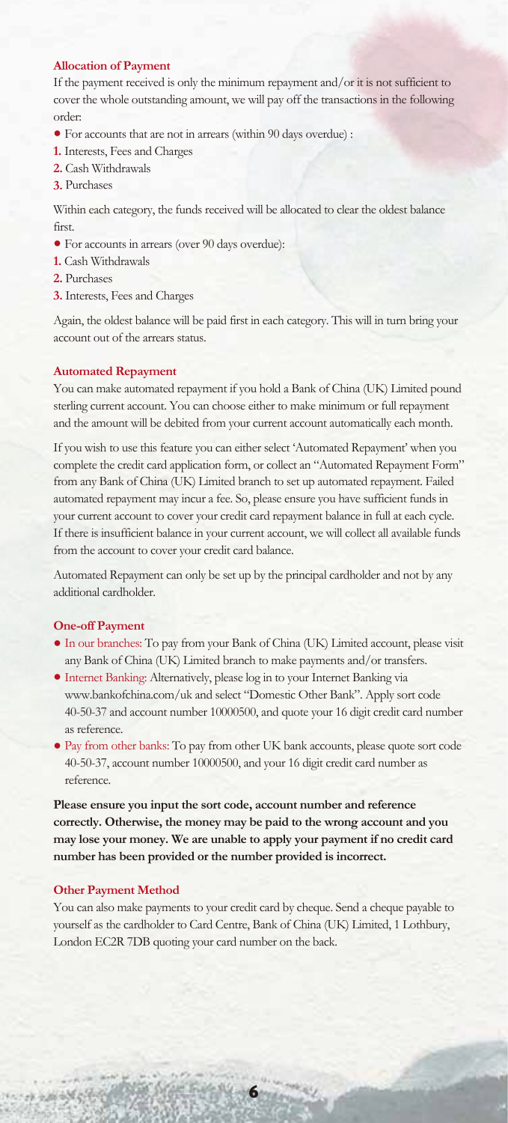#### **Allocation of Payment**

If the payment received is only the minimum repayment and/or it is not sufficient to cover the whole outstanding amount, we will pay off the transactions in the following order:

- For accounts that are not in arrears (within 90 days overdue) :
- **1.** Interests, Fees and Charges
- **2.** Cash Withdrawals
- **3.** Purchases

Within each category, the funds received will be allocated to clear the oldest balance first.

- For accounts in arrears (over 90 days overdue):
- **1.** Cash Withdrawals
- **2.** Purchases
- **3.** Interests, Fees and Charges

Again, the oldest balance will be paid first in each category. This will in turn bring your account out of the arrears status.

#### **Automated Repayment**

You can make automated repayment if you hold a Bank of China (UK) Limited pound sterling current account. You can choose either to make minimum or full repayment and the amount will be debited from your current account automatically each month.

If you wish to use this feature you can either select 'Automated Repayment' when you complete the credit card application form, or collect an "Automated Repayment Form" from any Bank of China (UK) Limited branch to set up automated repayment. Failed automated repayment may incur a fee. So, please ensure you have sufficient funds in your current account to cover your credit card repayment balance in full at each cycle. If there is insufficient balance in your current account, we will collect all available funds from the account to cover your credit card balance.

Automated Repayment can only be set up by the principal cardholder and not by any additional cardholder.

#### **One-off Payment**

- In our branches: To pay from your Bank of China (UK) Limited account, please visit any Bank of China (UK) Limited branch to make payments and/or transfers.
- Internet Banking: Alternatively, please log in to your Internet Banking via www.bankofchina.com/uk and select "Domestic Other Bank". Apply sort code 40-50-37 and account number 10000500, and quote your 16 digit credit card number as reference.
- Pay from other banks: To pay from other UK bank accounts, please quote sort code 40-50-37, account number 10000500, and your 16 digit credit card number as reference.

**Please ensure you input the sort code, account number and reference correctly. Otherwise, the money may be paid to the wrong account and you may lose your money. We are unable to apply your payment if no credit card number has been provided or the number provided is incorrect.**

#### **Other Payment Method**

いける あかり

You can also make payments to your credit card by cheque. Send a cheque payable to yourself as the cardholder to Card Centre, Bank of China (UK) Limited, 1 Lothbury, London EC2R 7DB quoting your card number on the back.